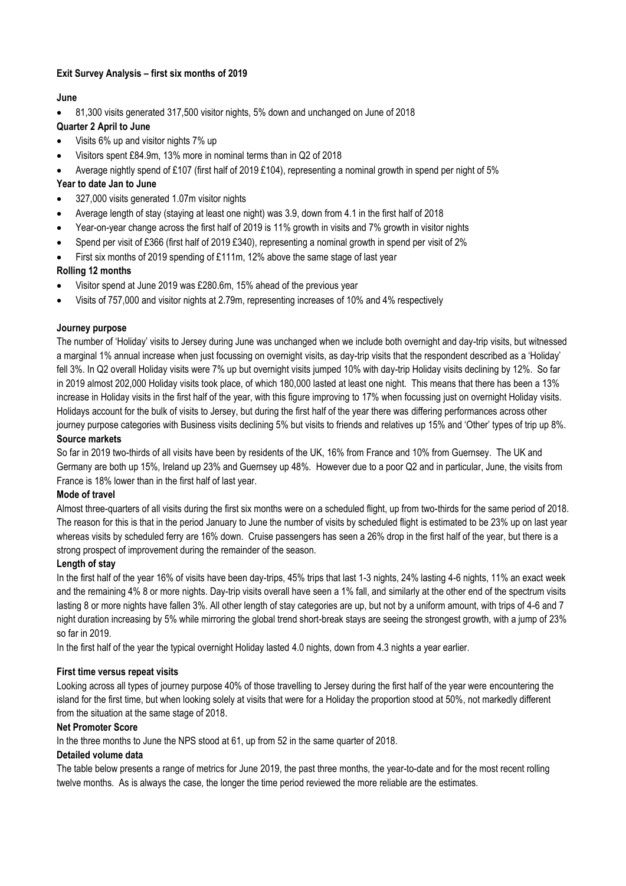## **Exit Survey Analysis – first six months of 2019**

## **June**

• 81,300 visits generated 317,500 visitor nights, 5% down and unchanged on June of 2018

# **Quarter 2 April to June**

- Visits 6% up and visitor nights 7% up
- Visitors spent £84.9m, 13% more in nominal terms than in Q2 of 2018
- Average nightly spend of £107 (first half of 2019 £104), representing a nominal growth in spend per night of 5%

## **Year to date Jan to June**

- 327,000 visits generated 1.07m visitor nights
- Average length of stay (staying at least one night) was 3.9, down from 4.1 in the first half of 2018
- Year-on-year change across the first half of 2019 is 11% growth in visits and 7% growth in visitor nights
- Spend per visit of £366 (first half of 2019 £340), representing a nominal growth in spend per visit of 2%
- First six months of 2019 spending of £111m, 12% above the same stage of last year

## **Rolling 12 months**

- Visitor spend at June 2019 was £280.6m, 15% ahead of the previous year
- Visits of 757,000 and visitor nights at 2.79m, representing increases of 10% and 4% respectively

#### **Journey purpose**

The number of 'Holiday' visits to Jersey during June was unchanged when we include both overnight and day-trip visits, but witnessed a marginal 1% annual increase when just focussing on overnight visits, as day-trip visits that the respondent described as a 'Holiday' fell 3%. In Q2 overall Holiday visits were 7% up but overnight visits jumped 10% with day-trip Holiday visits declining by 12%. So far in 2019 almost 202,000 Holiday visits took place, of which 180,000 lasted at least one night. This means that there has been a 13% increase in Holiday visits in the first half of the year, with this figure improving to 17% when focussing just on overnight Holiday visits. Holidays account for the bulk of visits to Jersey, but during the first half of the year there was differing performances across other journey purpose categories with Business visits declining 5% but visits to friends and relatives up 15% and 'Other' types of trip up 8%.

#### **Source markets**

So far in 2019 two-thirds of all visits have been by residents of the UK, 16% from France and 10% from Guernsey. The UK and Germany are both up 15%, Ireland up 23% and Guernsey up 48%. However due to a poor Q2 and in particular, June, the visits from France is 18% lower than in the first half of last year.

#### **Mode of travel**

Almost three-quarters of all visits during the first six months were on a scheduled flight, up from two-thirds for the same period of 2018. The reason for this is that in the period January to June the number of visits by scheduled flight is estimated to be 23% up on last year whereas visits by scheduled ferry are 16% down. Cruise passengers has seen a 26% drop in the first half of the year, but there is a strong prospect of improvement during the remainder of the season.

#### **Length of stay**

In the first half of the year 16% of visits have been day-trips, 45% trips that last 1-3 nights, 24% lasting 4-6 nights, 11% an exact week and the remaining 4% 8 or more nights. Day-trip visits overall have seen a 1% fall, and similarly at the other end of the spectrum visits lasting 8 or more nights have fallen 3%. All other length of stay categories are up, but not by a uniform amount, with trips of 4-6 and 7 night duration increasing by 5% while mirroring the global trend short-break stays are seeing the strongest growth, with a jump of 23% so far in 2019.

In the first half of the year the typical overnight Holiday lasted 4.0 nights, down from 4.3 nights a year earlier.

#### **First time versus repeat visits**

Looking across all types of journey purpose 40% of those travelling to Jersey during the first half of the year were encountering the island for the first time, but when looking solely at visits that were for a Holiday the proportion stood at 50%, not markedly different from the situation at the same stage of 2018.

#### **Net Promoter Score**

In the three months to June the NPS stood at 61, up from 52 in the same quarter of 2018.

#### **Detailed volume data**

The table below presents a range of metrics for June 2019, the past three months, the year-to-date and for the most recent rolling twelve months. As is always the case, the longer the time period reviewed the more reliable are the estimates.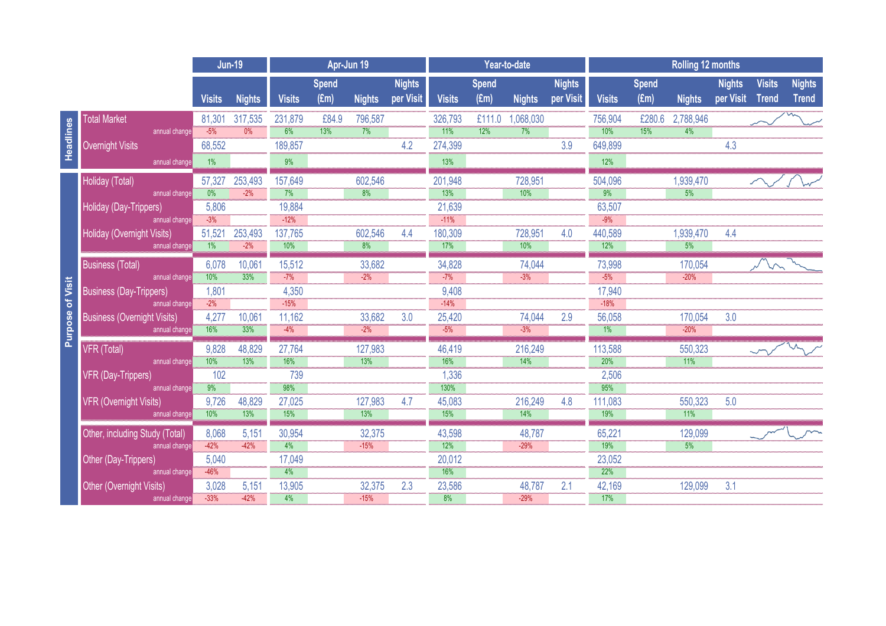|                         |                                                     |                  | <b>Jun-19</b> |                 | Apr-Jun 19                    |                 |                            |                 | Year-to-date                  |                |                            |                  | <b>Rolling 12 months</b> |                |                            |                               |                               |  |
|-------------------------|-----------------------------------------------------|------------------|---------------|-----------------|-------------------------------|-----------------|----------------------------|-----------------|-------------------------------|----------------|----------------------------|------------------|--------------------------|----------------|----------------------------|-------------------------------|-------------------------------|--|
|                         |                                                     | <b>Visits</b>    | <b>Nights</b> | <b>Visits</b>   | <b>Spend</b><br>$(\text{Em})$ | <b>Nights</b>   | <b>Nights</b><br>per Visit | <b>Visits</b>   | <b>Spend</b><br>$(\text{Em})$ | <b>Nights</b>  | <b>Nights</b><br>per Visit | <b>Visits</b>    | <b>Spend</b><br>(Em)     | <b>Nights</b>  | <b>Nights</b><br>per Visit | <b>Visits</b><br><b>Trend</b> | <b>Nights</b><br><b>Trend</b> |  |
|                         | <b>Total Market</b>                                 | 81,301           | 317,535       | 231,879         | £84.9                         | 796,587         |                            | 326,793         | £111.0                        | 1,068,030      |                            | 756,904          | £280.6                   | 2,788,946      |                            |                               |                               |  |
| Headlines               | annual change                                       | $-5%$            | 0%            | 6%              | 13%                           | 7%              |                            | $-11%$          | 12%                           | 7%             |                            | 10%              | 15%                      | 4%             |                            |                               |                               |  |
|                         | <b>Overnight Visits</b>                             | 68,552           |               | 189,857         |                               |                 | 4.2                        | 274,399         |                               |                | 3.9                        | 649,899          |                          |                | 4.3                        |                               |                               |  |
|                         | annual change                                       | $1\%$            |               | 9%              |                               |                 |                            | 13%             |                               |                |                            | 12%              |                          |                |                            |                               |                               |  |
| <b>Purpose of Visit</b> | Holiday (Total)                                     | 57,327           | 253,493       | 157,649         |                               | 602,546         |                            | 201,948         |                               | 728,951        |                            | 504,096          |                          | 1,939,470      |                            |                               |                               |  |
|                         | annual change                                       | 0%               | $-2%$         | 7%              |                               | 8%              |                            | 13%             |                               | 10%            |                            | 9%               |                          | 5%             |                            |                               |                               |  |
|                         | Holiday (Day-Trippers)                              | 5,806            |               | 19,884          |                               |                 |                            | 21,639          |                               |                |                            | 63,507           |                          |                |                            |                               |                               |  |
|                         | annual change                                       | $-3%$            |               | $-12%$          |                               |                 |                            | $-11%$          |                               |                |                            | $-9%$            |                          |                |                            |                               |                               |  |
|                         | Holiday (Overnight Visits)                          | 51,521           | 253,493       | 137,765         |                               | 602,546         | 4.4                        | 180,309         |                               | 728,951        | 4.0                        | 440,589          |                          | 1,939,470      | 4.4                        |                               |                               |  |
|                         | annual change                                       | $-1%$            | $-2%$         | 10%             |                               | $\frac{1}{8\%}$ |                            | 17%             |                               | 10%            |                            | 12%              |                          | 5%             |                            |                               |                               |  |
|                         | <b>Business (Total)</b>                             | 6,078            | 10,061        | 15,512          |                               | 33,682          |                            | 34,828          |                               | 74,044         |                            | 73,998           |                          | 170,054        |                            |                               |                               |  |
|                         | annual change                                       | 10%              | 33%           | $-7%$           |                               | $-2%$           |                            | $-7%$           |                               | $-3%$          |                            | $-5%$            |                          | $-20%$         |                            |                               |                               |  |
|                         | <b>Business (Day-Trippers)</b>                      | 1,801<br>$-2%$   |               | 4,350<br>$-15%$ |                               |                 |                            | 9,408<br>$-14%$ |                               |                |                            | 17,940<br>$-18%$ |                          |                |                            |                               |                               |  |
|                         | annual change<br><b>Business (Overnight Visits)</b> | 4,277            | 10,061        | 11,162          |                               | 33,682          | 3.0                        | 25,420          |                               | 74,044         | 2.9                        | 56,058           |                          | 170,054        | 3.0                        |                               |                               |  |
|                         | annual change                                       | 16%              | 33%           | $-4%$           |                               | $-2%$           |                            | $-5%$           |                               | $-3%$          |                            | 1%               |                          | $-20%$         |                            |                               |                               |  |
|                         |                                                     |                  |               |                 |                               |                 |                            |                 |                               |                |                            |                  |                          |                |                            |                               |                               |  |
|                         | VFR (Total)<br>annual change                        | 9,828<br>10%     | 48,829<br>13% | 27,764<br>16%   |                               | 127,983<br>13%  |                            | 46,419<br>16%   |                               | 216,249<br>14% |                            | 113,588<br>20%   |                          | 550,323<br>11% |                            |                               |                               |  |
|                         | VFR (Day-Trippers)                                  | 102              |               | 739             |                               |                 |                            | 1,336           |                               |                |                            | 2,506            |                          |                |                            |                               |                               |  |
|                         | annual change                                       | $\overline{9\%}$ |               | 98%             |                               |                 |                            | 130%            |                               |                |                            | 95%              |                          |                |                            |                               |                               |  |
|                         | <b>VFR (Overnight Visits)</b>                       | 9,726            | 48,829        | 27,025          |                               | 127,983         | 4.7                        | 45,083          |                               | 216,249        | 4.8                        | 111,083          |                          | 550,323        | 5.0                        |                               |                               |  |
|                         | annual change                                       | 10%              | 13%           | 15%             |                               | 13%             |                            | 15%             |                               | 14%            |                            | 19%              |                          | 11%            |                            |                               |                               |  |
|                         | Other, including Study (Total)                      | 8,068            | 5,151         | 30,954          |                               | 32,375          |                            | 43,598          |                               | 48,787         |                            | 65,221           |                          | 129,099        |                            |                               |                               |  |
|                         | annual change                                       | $-42%$           | $-42%$        | 4%              |                               | $-15%$          |                            | 12%             |                               | $-29%$         |                            | 19%              |                          | 5%             |                            |                               |                               |  |
|                         | Other (Day-Trippers)                                | 5,040            |               | 17,049          |                               |                 |                            | 20,012          |                               |                |                            | 23,052           |                          |                |                            |                               |                               |  |
|                         | annual change                                       | $-46%$           |               | 4%              |                               |                 |                            | 16%             |                               |                |                            | 22%              |                          |                |                            |                               |                               |  |
|                         | Other (Overnight Visits)                            | 3,028            | 5,151         | 13,905          |                               | 32,375          | 2.3                        | 23,586          |                               | 48,787         | 2.1                        | 42,169           |                          | 129,099        | 3.1                        |                               |                               |  |
|                         | annual change                                       | $-33%$           | $-42%$        | 4%              |                               | $-15%$          |                            | 8%              |                               | $-29%$         |                            | 17%              |                          |                |                            |                               |                               |  |